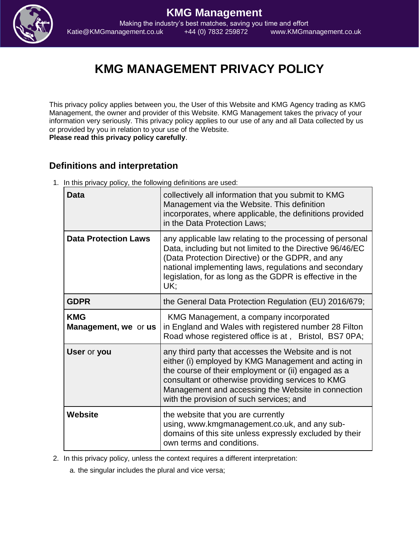

**KMG Management** Making the industry's best matches, saving you time and effort Katie@KMGmanagement.co.uk +44 (0) 7832 259872 www.KMGmanagement.co.uk

# **KMG MANAGEMENT PRIVACY POLICY**

This privacy policy applies between you, the User of this Website and KMG Agency trading as KMG Management, the owner and provider of this Website. KMG Management takes the privacy of your information very seriously. This privacy policy applies to our use of any and all Data collected by us or provided by you in relation to your use of the Website. **Please read this privacy policy carefully**.

#### **Definitions and interpretation**

1. In this privacy policy, the following definitions are used:

| <b>Data</b>                               | collectively all information that you submit to KMG<br>Management via the Website. This definition<br>incorporates, where applicable, the definitions provided<br>in the Data Protection Laws;                                                                                                                            |
|-------------------------------------------|---------------------------------------------------------------------------------------------------------------------------------------------------------------------------------------------------------------------------------------------------------------------------------------------------------------------------|
| <b>Data Protection Laws</b>               | any applicable law relating to the processing of personal<br>Data, including but not limited to the Directive 96/46/EC<br>(Data Protection Directive) or the GDPR, and any<br>national implementing laws, regulations and secondary<br>legislation, for as long as the GDPR is effective in the<br>UK:                    |
| <b>GDPR</b>                               | the General Data Protection Regulation (EU) 2016/679;                                                                                                                                                                                                                                                                     |
| <b>KMG</b><br><b>Management, we or us</b> | KMG Management, a company incorporated<br>in England and Wales with registered number 28 Filton<br>Road whose registered office is at, Bristol, BS7 0PA;                                                                                                                                                                  |
| User or you                               | any third party that accesses the Website and is not<br>either (i) employed by KMG Management and acting in<br>the course of their employment or (ii) engaged as a<br>consultant or otherwise providing services to KMG<br>Management and accessing the Website in connection<br>with the provision of such services; and |
| Website                                   | the website that you are currently<br>using, www.kmgmanagement.co.uk, and any sub-<br>domains of this site unless expressly excluded by their<br>own terms and conditions.                                                                                                                                                |

2. In this privacy policy, unless the context requires a different interpretation:

a. the singular includes the plural and vice versa;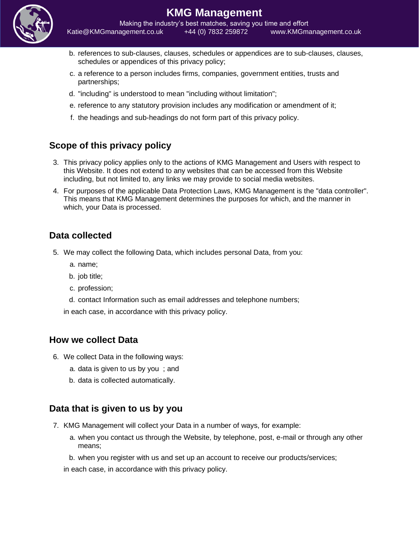

## **KMG Management**

Making the industry's best matches, saving you time and effort Katie@KMGmanagement.co.uk +44 (0) 7832 259872 www.KMGmanagement.co.uk

- b. references to sub-clauses, clauses, schedules or appendices are to sub-clauses, clauses, schedules or appendices of this privacy policy;
- c. a reference to a person includes firms, companies, government entities, trusts and partnerships;
- d. "including" is understood to mean "including without limitation";
- e. reference to any statutory provision includes any modification or amendment of it;
- f. the headings and sub-headings do not form part of this privacy policy.

### **Scope of this privacy policy**

- 3. This privacy policy applies only to the actions of KMG Management and Users with respect to this Website. It does not extend to any websites that can be accessed from this Website including, but not limited to, any links we may provide to social media websites.
- 4. For purposes of the applicable Data Protection Laws, KMG Management is the "data controller". This means that KMG Management determines the purposes for which, and the manner in which, your Data is processed.

#### **Data collected**

- 5. We may collect the following Data, which includes personal Data, from you:
	- a. name;
	- b. job title;
	- c. profession;
	- d. contact Information such as email addresses and telephone numbers;

in each case, in accordance with this privacy policy.

#### **How we collect Data**

- 6. We collect Data in the following ways:
	- a. data is given to us by you ; and
	- b. data is collected automatically.

#### **Data that is given to us by you**

- 7. KMG Management will collect your Data in a number of ways, for example:
	- a. when you contact us through the Website, by telephone, post, e-mail or through any other means;
	- b. when you register with us and set up an account to receive our products/services;

in each case, in accordance with this privacy policy.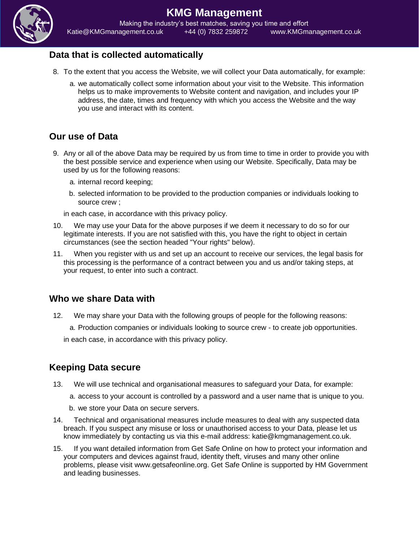

#### **KMG Management** Making the industry's best matches, saving you time and effort Katie@KMGmanagement.co.uk +44 (0) 7832 259872 www.KMGmanagement.co.uk

#### **Data that is collected automatically**

- 8. To the extent that you access the Website, we will collect your Data automatically, for example:
	- a. we automatically collect some information about your visit to the Website. This information helps us to make improvements to Website content and navigation, and includes your IP address, the date, times and frequency with which you access the Website and the way you use and interact with its content.

#### **Our use of Data**

- 9. Any or all of the above Data may be required by us from time to time in order to provide you with the best possible service and experience when using our Website. Specifically, Data may be used by us for the following reasons:
	- a. internal record keeping;
	- b. selected information to be provided to the production companies or individuals looking to source crew ;

in each case, in accordance with this privacy policy.

- 10. We may use your Data for the above purposes if we deem it necessary to do so for our legitimate interests. If you are not satisfied with this, you have the right to object in certain circumstances (see the section headed "Your rights" below).
- 11. When you register with us and set up an account to receive our services, the legal basis for this processing is the performance of a contract between you and us and/or taking steps, at your request, to enter into such a contract.

#### **Who we share Data with**

12. We may share your Data with the following groups of people for the following reasons: a. Production companies or individuals looking to source crew - to create job opportunities.

in each case, in accordance with this privacy policy.

#### **Keeping Data secure**

13. We will use technical and organisational measures to safeguard your Data, for example:

a. access to your account is controlled by a password and a user name that is unique to you.

b. we store your Data on secure servers.

- 14. Technical and organisational measures include measures to deal with any suspected data breach. If you suspect any misuse or loss or unauthorised access to your Data, please let us know immediately by contacting us via this e-mail address: katie@kmgmanagement.co.uk.
- 15. If you want detailed information from Get Safe Online on how to protect your information and your computers and devices against fraud, identity theft, viruses and many other online problems, please visit www.getsafeonline.org. Get Safe Online is supported by HM Government and leading businesses.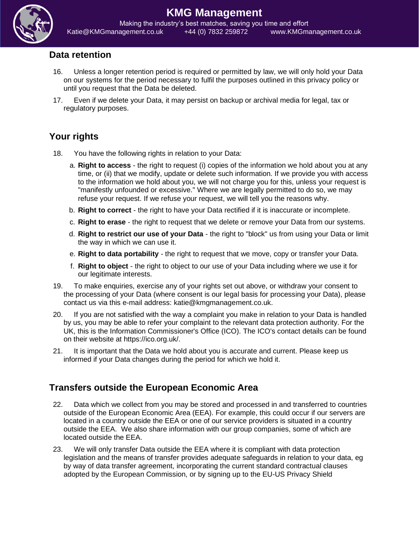

## **KMG Management**

Making the industry's best matches, saving you time and effort Katie@KMGmanagement.co.uk +44 (0) 7832 259872 www.KMGmanagement.co.uk

#### **Data retention**

- 16. Unless a longer retention period is required or permitted by law, we will only hold your Data on our systems for the period necessary to fulfil the purposes outlined in this privacy policy or until you request that the Data be deleted.
- 17. Even if we delete your Data, it may persist on backup or archival media for legal, tax or regulatory purposes.

### **Your rights**

- 18. You have the following rights in relation to your Data:
	- a. **Right to access** the right to request (i) copies of the information we hold about you at any time, or (ii) that we modify, update or delete such information. If we provide you with access to the information we hold about you, we will not charge you for this, unless your request is "manifestly unfounded or excessive." Where we are legally permitted to do so, we may refuse your request. If we refuse your request, we will tell you the reasons why.
	- b. **Right to correct** the right to have your Data rectified if it is inaccurate or incomplete.
	- c. **Right to erase** the right to request that we delete or remove your Data from our systems.
	- d. **Right to restrict our use of your Data** the right to "block" us from using your Data or limit the way in which we can use it.
	- e. **Right to data portability** the right to request that we move, copy or transfer your Data.
	- f. **Right to object** the right to object to our use of your Data including where we use it for our legitimate interests.
- 19. To make enquiries, exercise any of your rights set out above, or withdraw your consent to the processing of your Data (where consent is our legal basis for processing your Data), please contact us via this e-mail address: katie@kmgmanagement.co.uk.
- 20. If you are not satisfied with the way a complaint you make in relation to your Data is handled by us, you may be able to refer your complaint to the relevant data protection authority. For the UK, this is the Information Commissioner's Office (ICO). The ICO's contact details can be found on their website at https://ico.org.uk/.
- 21. It is important that the Data we hold about you is accurate and current. Please keep us informed if your Data changes during the period for which we hold it.

### **Transfers outside the European Economic Area**

- 22. Data which we collect from you may be stored and processed in and transferred to countries outside of the European Economic Area (EEA). For example, this could occur if our servers are located in a country outside the EEA or one of our service providers is situated in a country outside the EEA. We also share information with our group companies, some of which are located outside the EEA.
- 23. We will only transfer Data outside the EEA where it is compliant with data protection legislation and the means of transfer provides adequate safeguards in relation to your data, eg by way of data transfer agreement, incorporating the current standard contractual clauses adopted by the European Commission, or by signing up to the EU-US Privacy Shield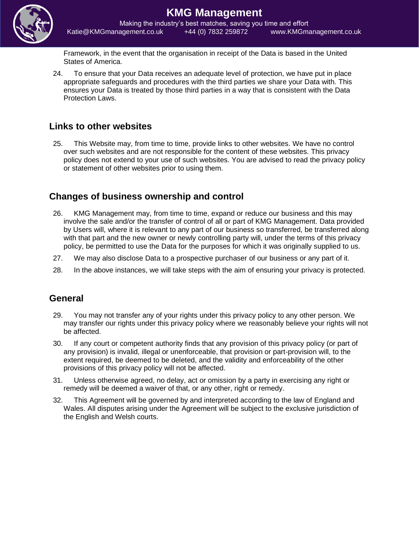

Making the industry's best matches, saving you time and effort Katie@KMGmanagement.co.uk +44 (0) 7832 259872 www.KMGmanagement.co.uk

Framework, in the event that the organisation in receipt of the Data is based in the United States of America.

24. To ensure that your Data receives an adequate level of protection, we have put in place appropriate safeguards and procedures with the third parties we share your Data with. This ensures your Data is treated by those third parties in a way that is consistent with the Data Protection Laws.

#### **Links to other websites**

25. This Website may, from time to time, provide links to other websites. We have no control over such websites and are not responsible for the content of these websites. This privacy policy does not extend to your use of such websites. You are advised to read the privacy policy or statement of other websites prior to using them.

### **Changes of business ownership and control**

- 26. KMG Management may, from time to time, expand or reduce our business and this may involve the sale and/or the transfer of control of all or part of KMG Management. Data provided by Users will, where it is relevant to any part of our business so transferred, be transferred along with that part and the new owner or newly controlling party will, under the terms of this privacy policy, be permitted to use the Data for the purposes for which it was originally supplied to us.
- 27. We may also disclose Data to a prospective purchaser of our business or any part of it.
- 28. In the above instances, we will take steps with the aim of ensuring your privacy is protected.

#### **General**

- 29. You may not transfer any of your rights under this privacy policy to any other person. We may transfer our rights under this privacy policy where we reasonably believe your rights will not be affected.
- 30. If any court or competent authority finds that any provision of this privacy policy (or part of any provision) is invalid, illegal or unenforceable, that provision or part-provision will, to the extent required, be deemed to be deleted, and the validity and enforceability of the other provisions of this privacy policy will not be affected.
- 31. Unless otherwise agreed, no delay, act or omission by a party in exercising any right or remedy will be deemed a waiver of that, or any other, right or remedy.
- 32. This Agreement will be governed by and interpreted according to the law of England and Wales. All disputes arising under the Agreement will be subject to the exclusive jurisdiction of the English and Welsh courts.